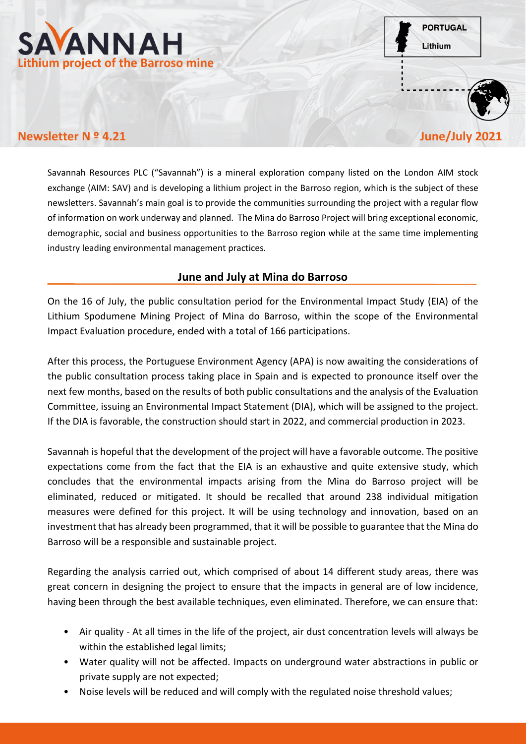



## **Newsletter N º 4.21** June/July 202

Savannah Resources PLC ("Savannah") is a mineral exploration company listed on the London AIM stock exchange (AIM: SAV) and is developing a lithium project in the Barroso region, which is the subject of these newsletters. Savannah's main goal is to provide the communities surrounding the project with a regular flow of information on work underway and planned. The Mina do Barroso Project will bring exceptional economic, demographic, social and business opportunities to the Barroso region while at the same time implementing industry leading environmental management practices.

## **June and July at Mina do Barroso**

On the 16 of July, the public consultation period for the Environmental Impact Study (EIA) of the Lithium Spodumene Mining Project of Mina do Barroso, within the scope of the Environmental Impact Evaluation procedure, ended with a total of 166 participations.

After this process, the Portuguese Environment Agency (APA) is now awaiting the considerations of the public consultation process taking place in Spain and is expected to pronounce itself over the next few months, based on the results of both public consultations and the analysis of the Evaluation Committee, issuing an Environmental Impact Statement (DIA), which will be assigned to the project. If the DIA is favorable, the construction should start in 2022, and commercial production in 2023.

Savannah is hopeful that the development of the project will have a favorable outcome. The positive expectations come from the fact that the EIA is an exhaustive and quite extensive study, which concludes that the environmental impacts arising from the Mina do Barroso project will be eliminated, reduced or mitigated. It should be recalled that around 238 individual mitigation measures were defined for this project. It will be using technology and innovation, based on an investment that has already been programmed, that it will be possible to guarantee that the Mina do Barroso will be a responsible and sustainable project.

Regarding the analysis carried out, which comprised of about 14 different study areas, there was great concern in designing the project to ensure that the impacts in general are of low incidence, having been through the best available techniques, even eliminated. Therefore, we can ensure that:

- Air quality At all times in the life of the project, air dust concentration levels will always be within the established legal limits;
- Water quality will not be affected. Impacts on underground water abstractions in public or private supply are not expected;
- Noise levels will be reduced and will comply with the regulated noise threshold values;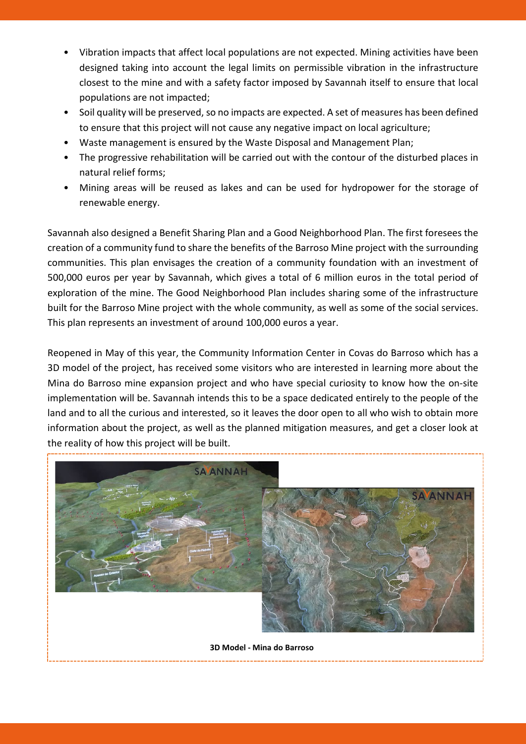- Vibration impacts that affect local populations are not expected. Mining activities have been designed taking into account the legal limits on permissible vibration in the infrastructure closest to the mine and with a safety factor imposed by Savannah itself to ensure that local populations are not impacted;
- Soil quality will be preserved, so no impacts are expected. A set of measures has been defined to ensure that this project will not cause any negative impact on local agriculture;
- Waste management is ensured by the Waste Disposal and Management Plan;
- The progressive rehabilitation will be carried out with the contour of the disturbed places in natural relief forms;
- Mining areas will be reused as lakes and can be used for hydropower for the storage of renewable energy.

Savannah also designed a Benefit Sharing Plan and a Good Neighborhood Plan. The first foresees the creation of a community fund to share the benefits of the Barroso Mine project with the surrounding communities. This plan envisages the creation of a community foundation with an investment of 500,000 euros per year by Savannah, which gives a total of 6 million euros in the total period of exploration of the mine. The Good Neighborhood Plan includes sharing some of the infrastructure built for the Barroso Mine project with the whole community, as well as some of the social services. This plan represents an investment of around 100,000 euros a year.

Reopened in May of this year, the Community Information Center in Covas do Barroso which has a 3D model of the project, has received some visitors who are interested in learning more about the Mina do Barroso mine expansion project and who have special curiosity to know how the on-site implementation will be. Savannah intends this to be a space dedicated entirely to the people of the land and to all the curious and interested, so it leaves the door open to all who wish to obtain more information about the project, as well as the planned mitigation measures, and get a closer look at the reality of how this project will be built.



**3D Model - Mina do Barroso**